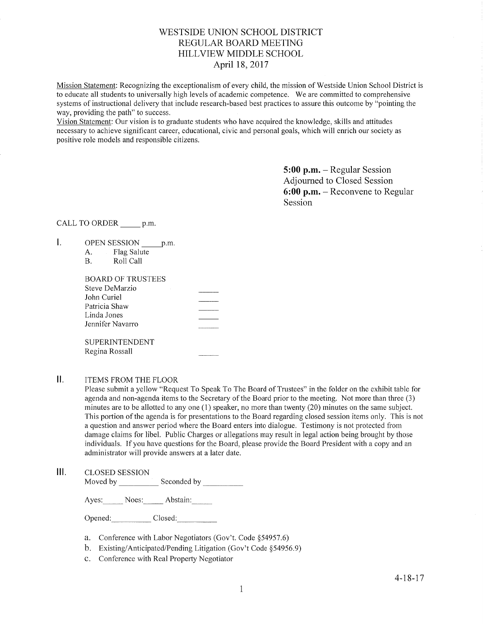## WESTSIDE LINION SCHOOL DISTRICT REGULAR BOARD MEETING HILLVIEW MIDDLE SCHOOL April 18,2017

Mission Statement: Recognizing the exceptionalism of every child, the mission of Westside Union School District is to educate all students to universally high levels of academic competence. We are committed to comprehensive systems of instructional delivery that include research-based best practices to assure this outcome by "pointing the way, providing the path" to success.

Vision Statement: Our vision is to graduate students who have acquired the knowledge, skills and attitudes necessary to achieve significant career, educational, civic and personal goals, which will enrich our society as positive role models and responsible citizens.

> 5:00 p.m. - Regular Session Adjourned to Closed Session  $6:00$  p.m. – Reconvene to Regular Session

CALL TO ORDER p.m.

- $\mathsf{L}$ OPEN SESSION p.m.
	- A. Flag Salute<br>B. Roll Call
	-

| <b>BOARD OF TRUSTEES</b> |  |
|--------------------------|--|
| Steve DeMarzio           |  |
| John Curiel              |  |
| Patricia Shaw            |  |
| Linda Jones              |  |
| Jennifer Navarro         |  |
| <b>SUPERINTENDENT</b>    |  |
| Regina Rossall           |  |

## II. ITEMS FROM THE FLOOR

Please submit a yellow "Request To Speak To The Board of Trustees" in the folder on the exhibit table for agenda and non-agenda items to the Secretary of the Board prior to the meeting. Not more than three (3) minutes are to be allotted to any one  $(1)$  speaker, no more than twenty  $(20)$  minutes on the same subject. This portion of the agenda is for presentations to the Board regarding closed session items only. This is not a question and answer period where the Board enters into dialogue. Testimony is not protected from damage claims for libel. Public Charges or allegations may result in legal action being brought by those individuals, If you have questions for the Board, please provide the Board President with a copy and an administrator will provide answers at a later date.

lll. cLosED sESSroN

Moved by Seconded by

Ayes: Noes: Abstain:

Opened: Closed:

- a. Conference with Labor Negotiators (Gov't. Code \$54957.6)
- b. Existing/Anticipated/Pending Litigation (Gov't Code §54956.9)
- e. Conference with Real Property Negotiator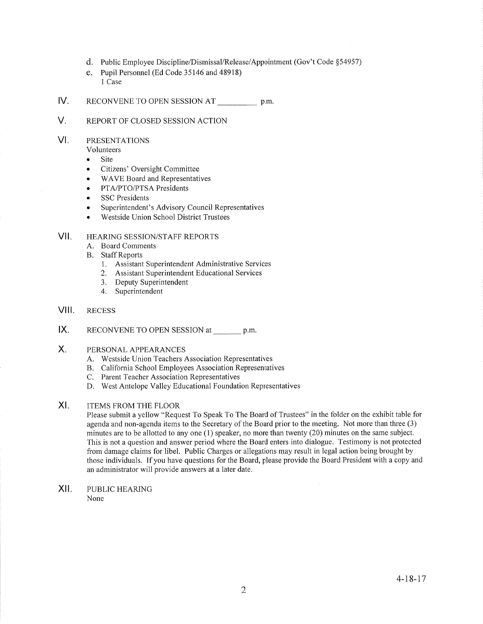- d. Public Ernployee Discipline/Dismissal/Release/Appointment (Gov't Code \$54957)
- e. Pupil Personnel (Ed Code 35146 and 48918) 1 Case
- IV RECONVENE TO OPEN SESSION AT \_\_\_\_\_\_\_\_\_\_\_\_\_ p.m.
- V. REPORT OF CLOSED SESSION ACTION

#### VI PRESENTATIONS

Volunteers

- Site
- . Citizens' Oversight Committee
- WAVE Board and Representatives
- PTA/PTO/PTSA Presidents
- SSC Presidents
- Superintendent's Advisory Council Representatives
- Westside Union School District Trustees

#### HEARING SESSION/STAFF REPORTS VII.

- A. Board Comments
- **B.** Staff Reports
	- 1. Assistant Superintendent Administrative Services
	- 2. Assistant Superintendent Educational Services
	- 3. Deputy Superintendent
	- 4. Superintendent

#### RECESS VIII.

RECONVENE TO OPEN SESSION at p.m. IX.

#### PERSONAL APPEARANCES X.

- A. Westside Union Teachers Association Representatives
- B. California School Employees Association Representatives
- C. Parent Teacher Association Representatives
- D. West Antelope Valley Educational Foundation Representatives
- ITEMS FROM THE FLOOR XI

Please submit a yellow "Request To Speak To The Board of Trustees" in the folder on the exhibit table for agenda and non-agenda items to the Secretary of the Board prior to the meeting. Not more than three (3) minutes are to be allotted to any one (1) speaker, no more than twenty (20) minutes on the same subject. This is not a question and answer period where the Board enters into dialogue. Testimony is not protected from damage claims for libel. Public Charges or allegations may result in legal action being brought by those individuals. If you have questions for the Board, please provide the Board President with a copy and an administrator will provide answers at a later date.

PUBLIC HEAzuNG None xil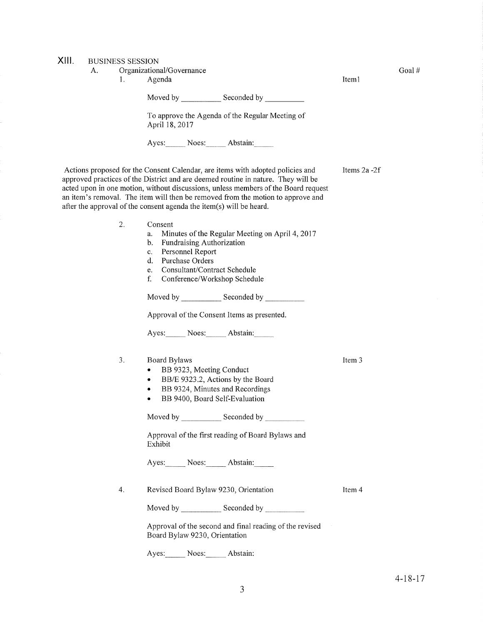# XIII.

| JII. | А. | <b>BUSINESS SESSION</b><br>1. | Organizational/Governance<br>Agenda                                                                                                                                                                                                                                                                                                                                                                                 | Item1        | Goal# |
|------|----|-------------------------------|---------------------------------------------------------------------------------------------------------------------------------------------------------------------------------------------------------------------------------------------------------------------------------------------------------------------------------------------------------------------------------------------------------------------|--------------|-------|
|      |    |                               |                                                                                                                                                                                                                                                                                                                                                                                                                     |              |       |
|      |    |                               | To approve the Agenda of the Regular Meeting of<br>April 18, 2017                                                                                                                                                                                                                                                                                                                                                   |              |       |
|      |    |                               | Ayes: Noes: Abstain:                                                                                                                                                                                                                                                                                                                                                                                                |              |       |
|      |    |                               | Actions proposed for the Consent Calendar, are items with adopted policies and<br>approved practices of the District and are deemed routine in nature. They will be<br>acted upon in one motion, without discussions, unless members of the Board request<br>an item's removal. The item will then be removed from the motion to approve and<br>after the approval of the consent agenda the item(s) will be heard. | Items 2a -2f |       |
|      |    | 2.                            | Consent<br>Minutes of the Regular Meeting on April 4, 2017<br>a.<br>Fundraising Authorization<br>b.<br>Personnel Report<br>c.<br>Purchase Orders<br>$\mathbf{d}$ .<br>Consultant/Contract Schedule<br>e.<br>f.<br>Conference/Workshop Schedule<br>Moved by ___________________ Seconded by _______________<br>Approval of the Consent Items as presented.<br>Ayes: Noes: Abstain:                                   |              |       |
|      |    | 3.                            | Board Bylaws<br>BB 9323, Meeting Conduct<br>۰<br>BB/E 9323.2, Actions by the Board<br>$\bullet$<br>BB 9324, Minutes and Recordings<br>$\bullet$<br>BB 9400, Board Self-Evaluation<br>٠<br>Approval of the first reading of Board Bylaws and<br>Exhibit                                                                                                                                                              | Item 3       |       |
|      |    | 4.                            | Ayes: Noes: Abstain:<br>Revised Board Bylaw 9230, Orientation<br>Approval of the second and final reading of the revised<br>Board Bylaw 9230, Orientation                                                                                                                                                                                                                                                           | Item 4       |       |
|      |    |                               | Ayes: Noes: Abstain:                                                                                                                                                                                                                                                                                                                                                                                                |              |       |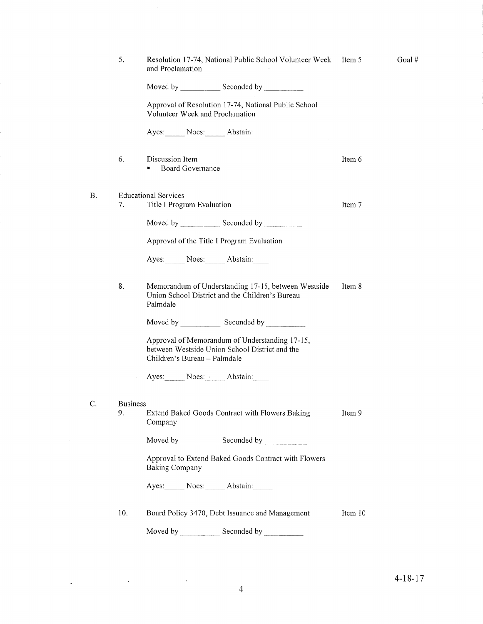| Resolution 17-74, National Public School Volunteer Week<br>and Proclamation                                                      |                                                                                                                              |  |
|----------------------------------------------------------------------------------------------------------------------------------|------------------------------------------------------------------------------------------------------------------------------|--|
| Moved by Seconded by Seconded by                                                                                                 |                                                                                                                              |  |
| Approval of Resolution 17-74, National Public School<br>Volunteer Week and Proclamation                                          |                                                                                                                              |  |
| Ayes: Noes: Abstain:                                                                                                             |                                                                                                                              |  |
| Discussion Item<br><b>Board Governance</b><br>ш                                                                                  | Item 6                                                                                                                       |  |
| <b>Educational Services</b>                                                                                                      | Item 7                                                                                                                       |  |
|                                                                                                                                  |                                                                                                                              |  |
| Approval of the Title I Program Evaluation                                                                                       |                                                                                                                              |  |
| Ayes: Noes: Abstain:                                                                                                             |                                                                                                                              |  |
| Memorandum of Understanding 17-15, between Westside<br>Union School District and the Children's Bureau -<br>Palmdale             | Item 8                                                                                                                       |  |
|                                                                                                                                  |                                                                                                                              |  |
| Approval of Memorandum of Understanding 17-15,<br>between Westside Union School District and the<br>Children's Bureau - Palmdale |                                                                                                                              |  |
| Ayes: Noes: Abstain:                                                                                                             |                                                                                                                              |  |
|                                                                                                                                  |                                                                                                                              |  |
| Extend Baked Goods Contract with Flowers Baking<br>Company                                                                       | Item 9                                                                                                                       |  |
|                                                                                                                                  |                                                                                                                              |  |
| Approval to Extend Baked Goods Contract with Flowers<br><b>Baking Company</b>                                                    |                                                                                                                              |  |
| Ayes: Noes: Abstain:                                                                                                             |                                                                                                                              |  |
| Board Policy 3470, Debt Issuance and Management                                                                                  | Item 10                                                                                                                      |  |
| Moved by <b>Example</b><br>Seconded by                                                                                           |                                                                                                                              |  |
|                                                                                                                                  | Title I Program Evaluation<br>Moved by _________________ Seconded by ____________<br>Moved by Seconded by<br><b>Business</b> |  |

B

 $C$ .

 $\mathcal{A}$ 

 $\hat{\mathbf{v}}$ 

Goal #

 $\hat{\mathbf{v}}$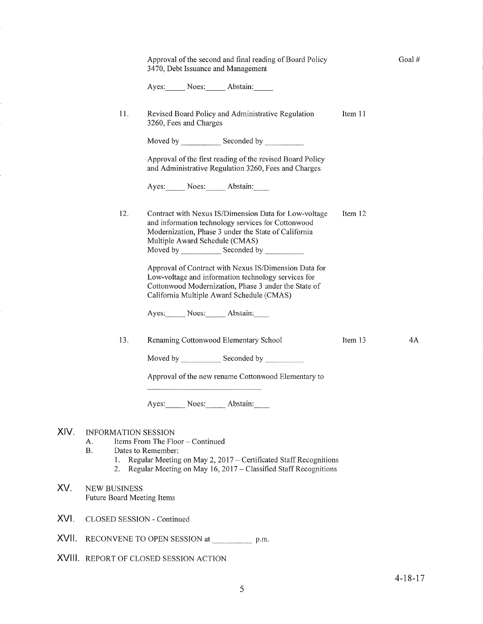|       |                                                                                                                                                                                                                                                            | Approval of the second and final reading of Board Policy<br>3470, Debt Issuance and Management                                                                                                                    |         | Goal# |  |  |
|-------|------------------------------------------------------------------------------------------------------------------------------------------------------------------------------------------------------------------------------------------------------------|-------------------------------------------------------------------------------------------------------------------------------------------------------------------------------------------------------------------|---------|-------|--|--|
|       |                                                                                                                                                                                                                                                            | Ayes: Noes: Abstain:                                                                                                                                                                                              |         |       |  |  |
|       | 11.                                                                                                                                                                                                                                                        | Revised Board Policy and Administrative Regulation<br>3260, Fees and Charges                                                                                                                                      | Item 11 |       |  |  |
|       |                                                                                                                                                                                                                                                            |                                                                                                                                                                                                                   |         |       |  |  |
|       |                                                                                                                                                                                                                                                            | Approval of the first reading of the revised Board Policy<br>and Administrative Regulation 3260, Fees and Charges                                                                                                 |         |       |  |  |
|       |                                                                                                                                                                                                                                                            | Ayes: Noes: Abstain:                                                                                                                                                                                              |         |       |  |  |
|       | 12.                                                                                                                                                                                                                                                        | Contract with Nexus IS/Dimension Data for Low-voltage<br>and information technology services for Cottonwood<br>Modernization, Phase 3 under the State of California<br>Multiple Award Schedule (CMAS)             | Item 12 |       |  |  |
|       |                                                                                                                                                                                                                                                            | Approval of Contract with Nexus IS/Dimension Data for<br>Low-voltage and information technology services for<br>Cottonwood Modernization, Phase 3 under the State of<br>California Multiple Award Schedule (CMAS) |         |       |  |  |
|       |                                                                                                                                                                                                                                                            | Ayes: Noes: Abstain:                                                                                                                                                                                              |         |       |  |  |
|       | 13.                                                                                                                                                                                                                                                        | Renaming Cottonwood Elementary School                                                                                                                                                                             | Item 13 | 4Α    |  |  |
|       |                                                                                                                                                                                                                                                            | Moved by Seconded by Seconded by                                                                                                                                                                                  |         |       |  |  |
|       |                                                                                                                                                                                                                                                            | Approval of the new rename Cottonwood Elementary to                                                                                                                                                               |         |       |  |  |
|       |                                                                                                                                                                                                                                                            | Ayes: Noes: Abstain:                                                                                                                                                                                              |         |       |  |  |
| XIV.  | <b>INFORMATION SESSION</b><br>Items From The Floor - Continued<br>А.<br><b>B.</b><br>Dates to Remember:<br>Regular Meeting on May 2, 2017 – Certificated Staff Recognitions<br>1.<br>Regular Meeting on May 16, 2017 – Classified Staff Recognitions<br>2. |                                                                                                                                                                                                                   |         |       |  |  |
| XV.   | <b>NEW BUSINESS</b><br>Future Board Meeting Items                                                                                                                                                                                                          |                                                                                                                                                                                                                   |         |       |  |  |
| XVI.  | CLOSED SESSION - Continued                                                                                                                                                                                                                                 |                                                                                                                                                                                                                   |         |       |  |  |
| XVII. | RECONVENE TO OPEN SESSION at<br>p.m.                                                                                                                                                                                                                       |                                                                                                                                                                                                                   |         |       |  |  |
|       | XVIII. REPORT OF CLOSED SESSION ACTION                                                                                                                                                                                                                     |                                                                                                                                                                                                                   |         |       |  |  |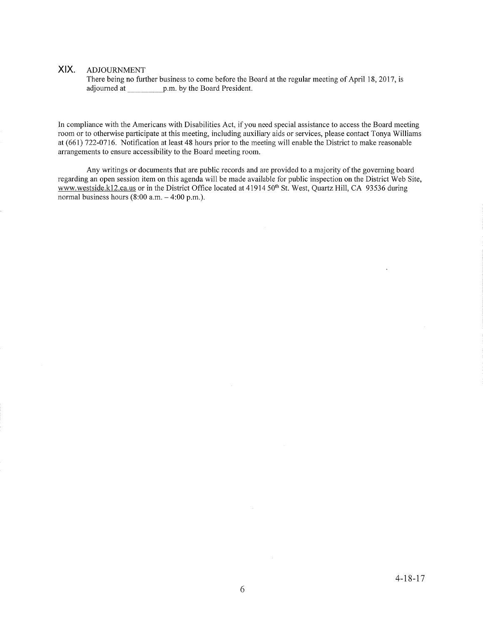## XIX. ADJoURNMENT

There being no further business to come before the Board at the regular meeting of April 18, 2017, is adjourned at p.m. by the Board President.

In compliance with the Americans with Disabilities Act, if you need special assistance to access the Board meeting room or to otherwise participate at this meeting, including auxiliary aids or services, please contact Tonya Williams at (661) 122-0716. Notification at least 48 hours prior to the meeting will enable the District to make reasonable arrangements to ensure accessibility to the Board meeting room.

Any writings or documents that are public records and are provided to a majority of the governing board regarding an open session item on this agenda will be made available for public inspection on the District Web Site, www.westside.k12.ca.us or in the District Office located at 41914 50<sup>th</sup> St. West, Quartz Hill, CA 93536 during normal business hours  $(8:00 a.m. - 4:00 p.m.).$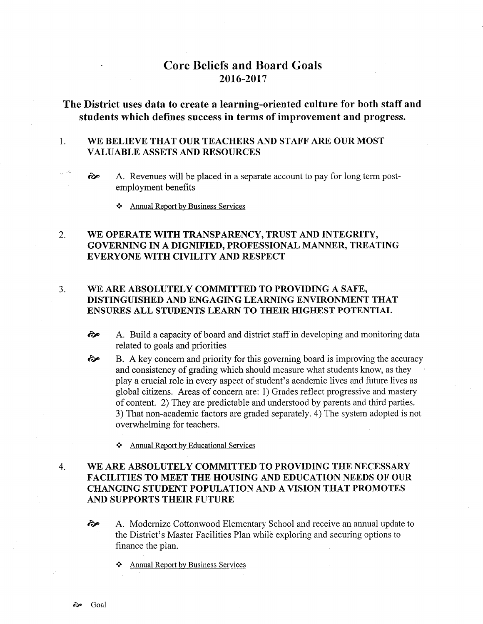# Core Beliefs and Board Goals 2016-2017

## The District uses data to create a learning-oriented culture for both staff and students which defines success in terms of improvement and progress.

### 1 WE BELIEVE THAT OUR TEACHERS AND STAFF ARE OUR MOST VALUABLE ASSETS AND RESOURCES

- $\hat{\infty}$  A. Revenues will be placed in a separate account to pay for long term postemployment benefits
	- \* Annual ReÞort bv Business Services

### WE OPERATE WITH TRANSPARENCY, TRUST AND INTEGRITY, GOVERNING IN A DIGNIFIED, PROFESSIONAL MANNER, TREATING EVERYONE WITH CIVILITY AND RESPECT 2.

### WE ARE ABSOLUTELY COMMITTED TO PROVIDING A SAFE, DISTINGUISHED AND ENGAGING LEARNING ENVIRONMENT THAT ENSURES ALL STUDENTS LEARN TO THEIR HIGHEST POTENTIAL  $3<sub>1</sub>$

- èp A. Build a capacity of board and district staff in developing and monitoring data related to goals and priorities
- B. A key concern and priority for this governing board is improving the accuracy and consistency of grading which should measure what students know, as they play a crucial role in every aspect of student's academic lives and future lives as global citizens. Areas of concern are: 1) Grades reflect progressive and mastery of content. 2) They are predictable and understood by parents and third parties. 3) That non-academic factors are graded separately. 4) The system adopted is not overwhelming for teachers. èp
	- \* Annual Report by Educational Services

## WE ARE ABSOLUTELY COMMITTED TO PROVIDING THE NECESSARY FACILITIES TO MEET THE HOUSING AND EDUCATION NEEDS OF OUR CHANGING STUDENT POPULATION AND A VISION THAT PROMOTES AND SUPPORTS THEIR FUTURE 4

- èp A. Modernize Cottonwood Elementary School and receive an annual update to the District's Mâster Facilities Plan while exploring and securing options to finance the plan.
	- \* Annual Report by Business Services

 $\mathbf{u}^{(1)}$  ,  $\tilde{\mathbf{u}}$  ,